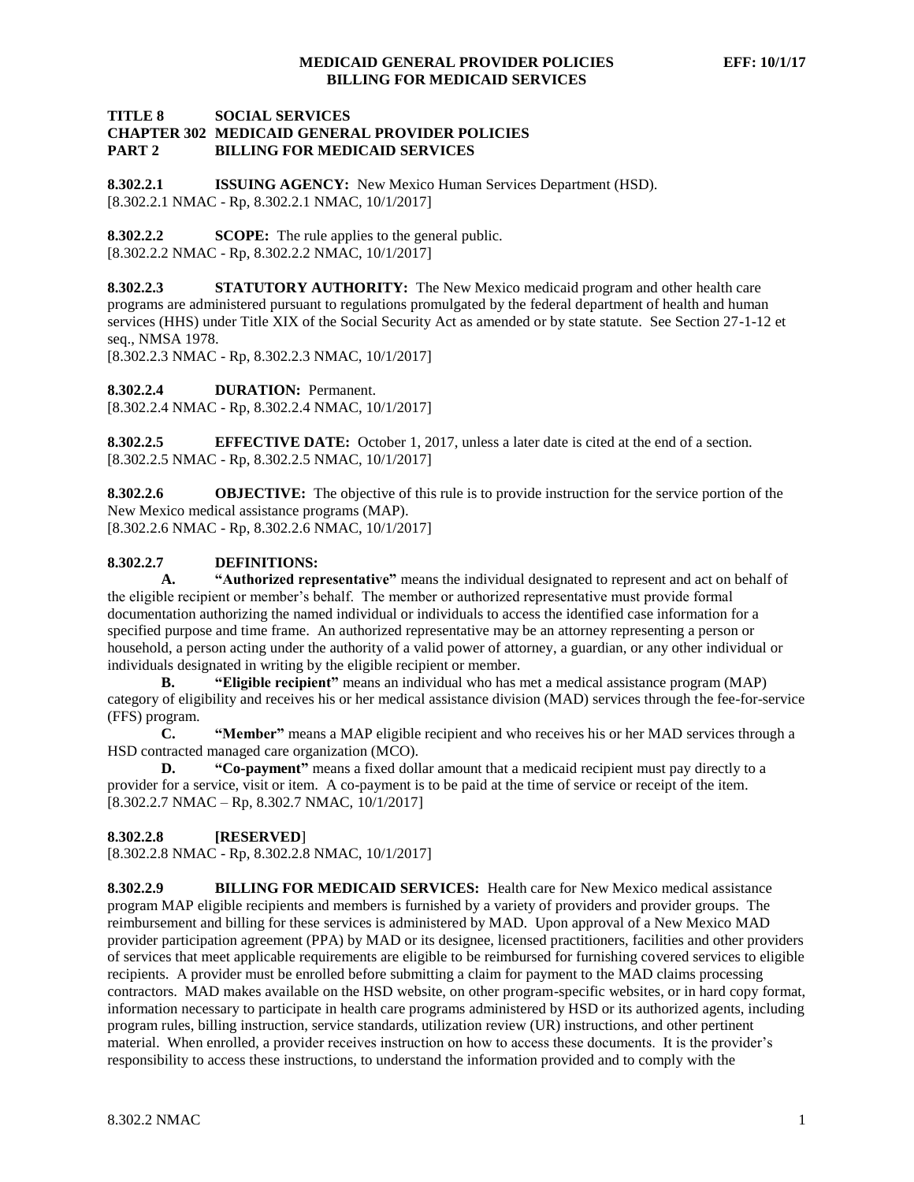## **TITLE 8 SOCIAL SERVICES CHAPTER 302 MEDICAID GENERAL PROVIDER POLICIES PART 2 BILLING FOR MEDICAID SERVICES**

**8.302.2.1 ISSUING AGENCY:** New Mexico Human Services Department (HSD). [8.302.2.1 NMAC - Rp, 8.302.2.1 NMAC, 10/1/2017]

**8.302.2.2 SCOPE:** The rule applies to the general public. [8.302.2.2 NMAC - Rp, 8.302.2.2 NMAC, 10/1/2017]

**8.302.2.3 STATUTORY AUTHORITY:** The New Mexico medicaid program and other health care programs are administered pursuant to regulations promulgated by the federal department of health and human services (HHS) under Title XIX of the Social Security Act as amended or by state statute. See Section 27-1-12 et seq., NMSA 1978.

[8.302.2.3 NMAC - Rp, 8.302.2.3 NMAC, 10/1/2017]

**8.302.2.4 DURATION:** Permanent.

[8.302.2.4 NMAC - Rp, 8.302.2.4 NMAC, 10/1/2017]

**8.302.2.5 EFFECTIVE DATE:** October 1, 2017, unless a later date is cited at the end of a section. [8.302.2.5 NMAC - Rp, 8.302.2.5 NMAC, 10/1/2017]

**8.302.2.6 OBJECTIVE:** The objective of this rule is to provide instruction for the service portion of the New Mexico medical assistance programs (MAP). [8.302.2.6 NMAC - Rp, 8.302.2.6 NMAC, 10/1/2017]

# **8.302.2.7 DEFINITIONS:**

**A. "Authorized representative"** means the individual designated to represent and act on behalf of the eligible recipient or member's behalf. The member or authorized representative must provide formal documentation authorizing the named individual or individuals to access the identified case information for a specified purpose and time frame. An authorized representative may be an attorney representing a person or household, a person acting under the authority of a valid power of attorney, a guardian, or any other individual or individuals designated in writing by the eligible recipient or member.

**B. "Eligible recipient"** means an individual who has met a medical assistance program (MAP) category of eligibility and receives his or her medical assistance division (MAD) services through the fee-for-service (FFS) program.

**C. "Member"** means a MAP eligible recipient and who receives his or her MAD services through a HSD contracted managed care organization (MCO).

**D. "Co-payment"** means a fixed dollar amount that a medicaid recipient must pay directly to a provider for a service, visit or item. A co-payment is to be paid at the time of service or receipt of the item. [8.302.2.7 NMAC – Rp, 8.302.7 NMAC, 10/1/2017]

### **8.302.2.8 [RESERVED**]

[8.302.2.8 NMAC - Rp, 8.302.2.8 NMAC, 10/1/2017]

**8.302.2.9 BILLING FOR MEDICAID SERVICES:** Health care for New Mexico medical assistance program MAP eligible recipients and members is furnished by a variety of providers and provider groups. The reimbursement and billing for these services is administered by MAD. Upon approval of a New Mexico MAD provider participation agreement (PPA) by MAD or its designee, licensed practitioners, facilities and other providers of services that meet applicable requirements are eligible to be reimbursed for furnishing covered services to eligible recipients. A provider must be enrolled before submitting a claim for payment to the MAD claims processing contractors. MAD makes available on the HSD website, on other program-specific websites, or in hard copy format, information necessary to participate in health care programs administered by HSD or its authorized agents, including program rules, billing instruction, service standards, utilization review (UR) instructions, and other pertinent material. When enrolled, a provider receives instruction on how to access these documents. It is the provider's responsibility to access these instructions, to understand the information provided and to comply with the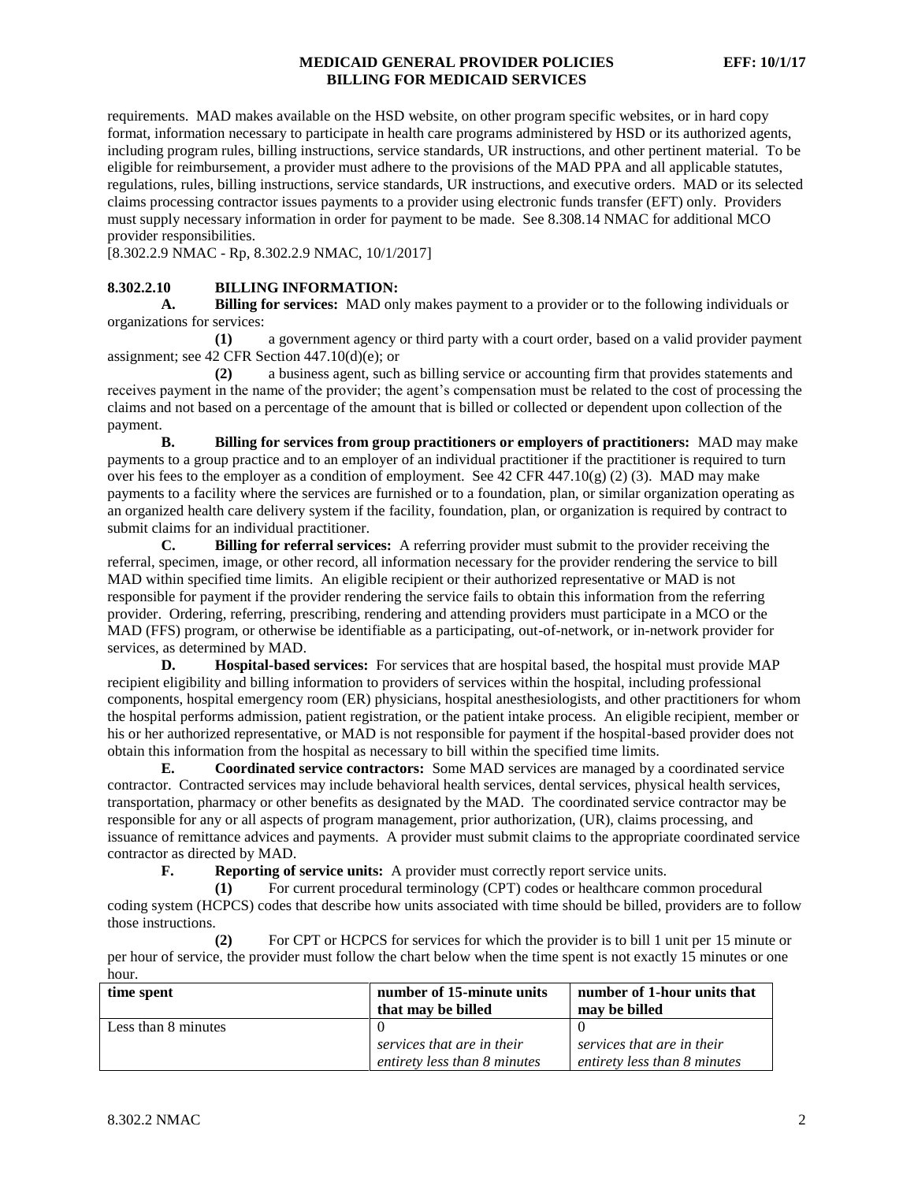requirements. MAD makes available on the HSD website, on other program specific websites, or in hard copy format, information necessary to participate in health care programs administered by HSD or its authorized agents, including program rules, billing instructions, service standards, UR instructions, and other pertinent material. To be eligible for reimbursement, a provider must adhere to the provisions of the MAD PPA and all applicable statutes, regulations, rules, billing instructions, service standards, UR instructions, and executive orders. MAD or its selected claims processing contractor issues payments to a provider using electronic funds transfer (EFT) only. Providers must supply necessary information in order for payment to be made. See 8.308.14 NMAC for additional MCO provider responsibilities.

[8.302.2.9 NMAC - Rp, 8.302.2.9 NMAC, 10/1/2017]

# **8.302.2.10 BILLING INFORMATION:**

**A. Billing for services:** MAD only makes payment to a provider or to the following individuals or organizations for services:

**(1)** a government agency or third party with a court order, based on a valid provider payment assignment; see 42 CFR Section 447.10(d)(e); or

**(2)** a business agent, such as billing service or accounting firm that provides statements and receives payment in the name of the provider; the agent's compensation must be related to the cost of processing the claims and not based on a percentage of the amount that is billed or collected or dependent upon collection of the payment.

**B. Billing for services from group practitioners or employers of practitioners:** MAD may make payments to a group practice and to an employer of an individual practitioner if the practitioner is required to turn over his fees to the employer as a condition of employment. See 42 CFR 447.10(g) (2) (3). MAD may make payments to a facility where the services are furnished or to a foundation, plan, or similar organization operating as an organized health care delivery system if the facility, foundation, plan, or organization is required by contract to submit claims for an individual practitioner.

**C. Billing for referral services:** A referring provider must submit to the provider receiving the referral, specimen, image, or other record, all information necessary for the provider rendering the service to bill MAD within specified time limits. An eligible recipient or their authorized representative or MAD is not responsible for payment if the provider rendering the service fails to obtain this information from the referring provider. Ordering, referring, prescribing, rendering and attending providers must participate in a MCO or the MAD (FFS) program, or otherwise be identifiable as a participating, out-of-network, or in-network provider for services, as determined by MAD.

**D. Hospital-based services:** For services that are hospital based, the hospital must provide MAP recipient eligibility and billing information to providers of services within the hospital, including professional components, hospital emergency room (ER) physicians, hospital anesthesiologists, and other practitioners for whom the hospital performs admission, patient registration, or the patient intake process. An eligible recipient, member or his or her authorized representative, or MAD is not responsible for payment if the hospital-based provider does not obtain this information from the hospital as necessary to bill within the specified time limits.

**E. Coordinated service contractors:** Some MAD services are managed by a coordinated service contractor. Contracted services may include behavioral health services, dental services, physical health services, transportation, pharmacy or other benefits as designated by the MAD. The coordinated service contractor may be responsible for any or all aspects of program management, prior authorization, (UR), claims processing, and issuance of remittance advices and payments. A provider must submit claims to the appropriate coordinated service contractor as directed by MAD.

**F. Reporting of service units:** A provider must correctly report service units.

**(1)** For current procedural terminology (CPT) codes or healthcare common procedural coding system (HCPCS) codes that describe how units associated with time should be billed, providers are to follow those instructions.

**(2)** For CPT or HCPCS for services for which the provider is to bill 1 unit per 15 minute or per hour of service, the provider must follow the chart below when the time spent is not exactly 15 minutes or one hour.

| time spent          | number of 15-minute units    | number of 1-hour units that  |
|---------------------|------------------------------|------------------------------|
|                     | that may be billed           | may be billed                |
| Less than 8 minutes |                              |                              |
|                     | services that are in their   | services that are in their   |
|                     | entirety less than 8 minutes | entirety less than 8 minutes |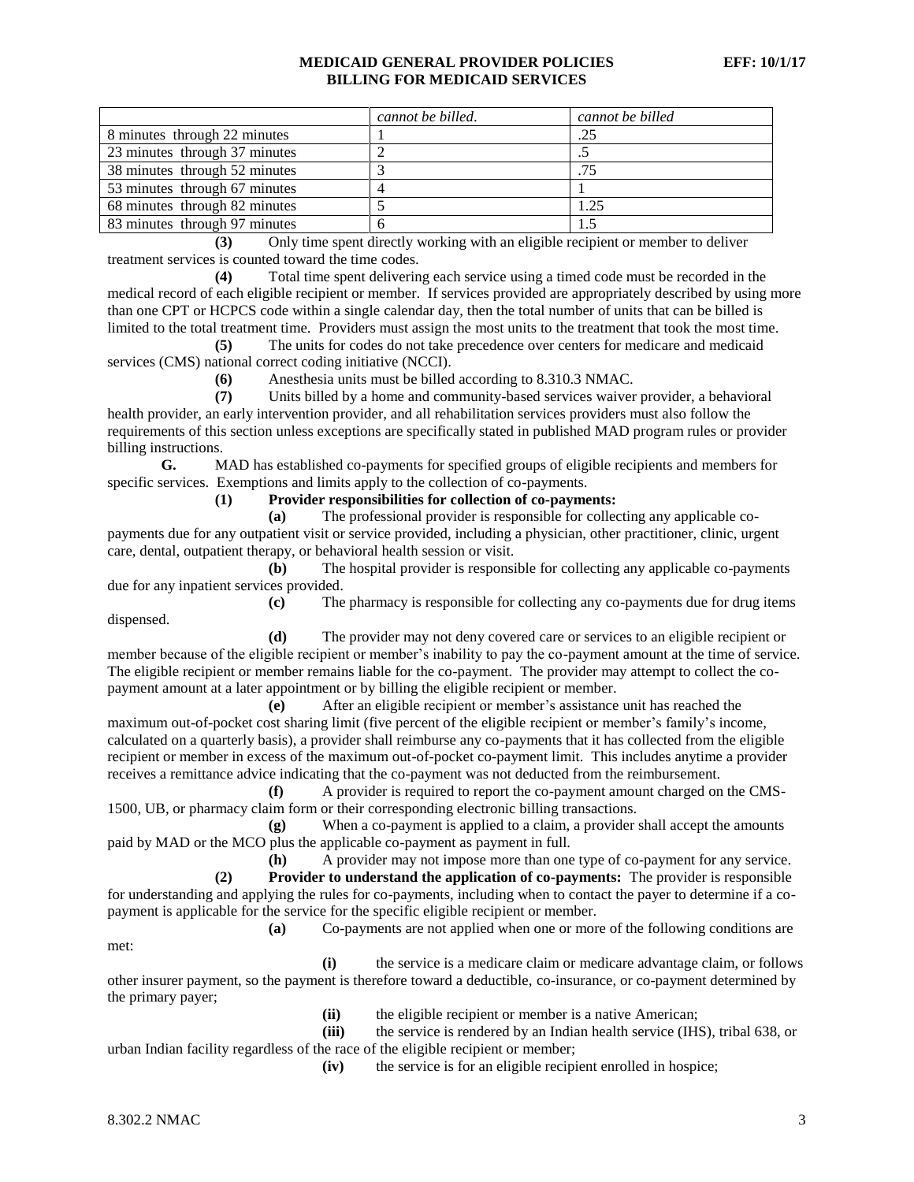|                               | cannot be billed. | cannot be billed |
|-------------------------------|-------------------|------------------|
| 8 minutes through 22 minutes  |                   | .25              |
| 23 minutes through 37 minutes |                   |                  |
| 38 minutes through 52 minutes |                   | .75              |
| 53 minutes through 67 minutes |                   |                  |
| 68 minutes through 82 minutes |                   | 1.25             |
| 83 minutes through 97 minutes |                   |                  |

**(3)** Only time spent directly working with an eligible recipient or member to deliver treatment services is counted toward the time codes.

**(4)** Total time spent delivering each service using a timed code must be recorded in the medical record of each eligible recipient or member. If services provided are appropriately described by using more than one CPT or HCPCS code within a single calendar day, then the total number of units that can be billed is limited to the total treatment time. Providers must assign the most units to the treatment that took the most time.

**(5)** The units for codes do not take precedence over centers for medicare and medicaid services (CMS) national correct coding initiative (NCCI).

**(6)** Anesthesia units must be billed according to 8.310.3 NMAC.

**(7)** Units billed by a home and community-based services waiver provider, a behavioral health provider, an early intervention provider, and all rehabilitation services providers must also follow the requirements of this section unless exceptions are specifically stated in published MAD program rules or provider billing instructions.

**G.** MAD has established co-payments for specified groups of eligible recipients and members for specific services. Exemptions and limits apply to the collection of co-payments.

**(1) Provider responsibilities for collection of co-payments:**

**(a)** The professional provider is responsible for collecting any applicable copayments due for any outpatient visit or service provided, including a physician, other practitioner, clinic, urgent care, dental, outpatient therapy, or behavioral health session or visit.

**(b)** The hospital provider is responsible for collecting any applicable co-payments due for any inpatient services provided.

**(c)** The pharmacy is responsible for collecting any co-payments due for drug items dispensed.

**(d)** The provider may not deny covered care or services to an eligible recipient or member because of the eligible recipient or member's inability to pay the co-payment amount at the time of service. The eligible recipient or member remains liable for the co-payment. The provider may attempt to collect the copayment amount at a later appointment or by billing the eligible recipient or member.

**(e)** After an eligible recipient or member's assistance unit has reached the maximum out-of-pocket cost sharing limit (five percent of the eligible recipient or member's family's income, calculated on a quarterly basis), a provider shall reimburse any co-payments that it has collected from the eligible recipient or member in excess of the maximum out-of-pocket co-payment limit. This includes anytime a provider receives a remittance advice indicating that the co-payment was not deducted from the reimbursement.

**(f)** A provider is required to report the co-payment amount charged on the CMS-1500, UB, or pharmacy claim form or their corresponding electronic billing transactions.

**(g)** When a co-payment is applied to a claim, a provider shall accept the amounts paid by MAD or the MCO plus the applicable co-payment as payment in full.

**(h)** A provider may not impose more than one type of co-payment for any service. **(2) Provider to understand the application of co-payments:** The provider is responsible for understanding and applying the rules for co-payments, including when to contact the payer to determine if a copayment is applicable for the service for the specific eligible recipient or member.

**(a)** Co-payments are not applied when one or more of the following conditions are

**(i)** the service is a medicare claim or medicare advantage claim, or follows other insurer payment, so the payment is therefore toward a deductible, co-insurance, or co-payment determined by the primary payer;

**(ii)** the eligible recipient or member is a native American;

**(iii)** the service is rendered by an Indian health service (IHS), tribal 638, or urban Indian facility regardless of the race of the eligible recipient or member;

**(iv)** the service is for an eligible recipient enrolled in hospice;

met: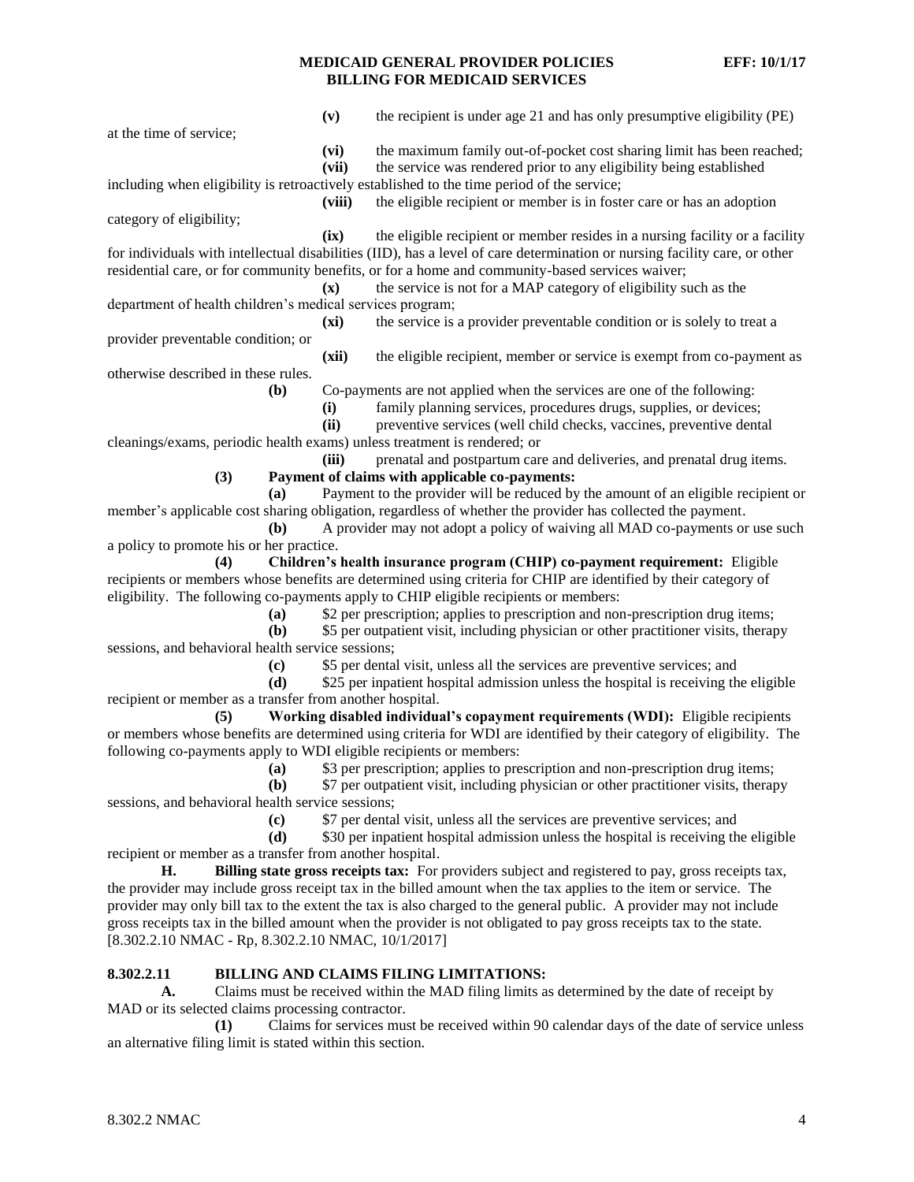|                                                                                                                      | (v)            | the recipient is under age 21 and has only presumptive eligibility (PE)                                                                                                                                                       |  |
|----------------------------------------------------------------------------------------------------------------------|----------------|-------------------------------------------------------------------------------------------------------------------------------------------------------------------------------------------------------------------------------|--|
| at the time of service;                                                                                              |                |                                                                                                                                                                                                                               |  |
|                                                                                                                      | (vi)           | the maximum family out-of-pocket cost sharing limit has been reached;                                                                                                                                                         |  |
|                                                                                                                      | (vii)          | the service was rendered prior to any eligibility being established                                                                                                                                                           |  |
|                                                                                                                      |                | including when eligibility is retroactively established to the time period of the service;                                                                                                                                    |  |
|                                                                                                                      | (viii)         | the eligible recipient or member is in foster care or has an adoption                                                                                                                                                         |  |
| category of eligibility;                                                                                             |                |                                                                                                                                                                                                                               |  |
|                                                                                                                      | (ix)           | the eligible recipient or member resides in a nursing facility or a facility                                                                                                                                                  |  |
|                                                                                                                      |                | for individuals with intellectual disabilities (IID), has a level of care determination or nursing facility care, or other<br>residential care, or for community benefits, or for a home and community-based services waiver; |  |
|                                                                                                                      | $(\mathbf{x})$ | the service is not for a MAP category of eligibility such as the                                                                                                                                                              |  |
| department of health children's medical services program;                                                            |                |                                                                                                                                                                                                                               |  |
|                                                                                                                      | (xi)           | the service is a provider preventable condition or is solely to treat a                                                                                                                                                       |  |
| provider preventable condition; or                                                                                   |                |                                                                                                                                                                                                                               |  |
|                                                                                                                      | (xii)          | the eligible recipient, member or service is exempt from co-payment as                                                                                                                                                        |  |
| otherwise described in these rules.                                                                                  |                |                                                                                                                                                                                                                               |  |
| (b)                                                                                                                  |                | Co-payments are not applied when the services are one of the following:                                                                                                                                                       |  |
|                                                                                                                      | (i)            | family planning services, procedures drugs, supplies, or devices;                                                                                                                                                             |  |
|                                                                                                                      | (ii)           | preventive services (well child checks, vaccines, preventive dental                                                                                                                                                           |  |
| cleanings/exams, periodic health exams) unless treatment is rendered; or                                             |                |                                                                                                                                                                                                                               |  |
|                                                                                                                      | (iii)          | prenatal and postpartum care and deliveries, and prenatal drug items.                                                                                                                                                         |  |
| (3)                                                                                                                  |                | Payment of claims with applicable co-payments:                                                                                                                                                                                |  |
| (a)                                                                                                                  |                | Payment to the provider will be reduced by the amount of an eligible recipient or                                                                                                                                             |  |
|                                                                                                                      |                | member's applicable cost sharing obligation, regardless of whether the provider has collected the payment.                                                                                                                    |  |
| (b)<br>a policy to promote his or her practice.                                                                      |                | A provider may not adopt a policy of waiving all MAD co-payments or use such                                                                                                                                                  |  |
| (4)                                                                                                                  |                | Children's health insurance program (CHIP) co-payment requirement: Eligible                                                                                                                                                   |  |
|                                                                                                                      |                | recipients or members whose benefits are determined using criteria for CHIP are identified by their category of                                                                                                               |  |
| eligibility. The following co-payments apply to CHIP eligible recipients or members:                                 |                |                                                                                                                                                                                                                               |  |
| (a)                                                                                                                  |                | \$2 per prescription; applies to prescription and non-prescription drug items;                                                                                                                                                |  |
| (b)                                                                                                                  |                | \$5 per outpatient visit, including physician or other practitioner visits, therapy                                                                                                                                           |  |
| sessions, and behavioral health service sessions;                                                                    |                |                                                                                                                                                                                                                               |  |
| (c)                                                                                                                  |                | \$5 per dental visit, unless all the services are preventive services; and                                                                                                                                                    |  |
| (d)                                                                                                                  |                | \$25 per inpatient hospital admission unless the hospital is receiving the eligible                                                                                                                                           |  |
| recipient or member as a transfer from another hospital.                                                             |                |                                                                                                                                                                                                                               |  |
| Working disabled individual's copayment requirements (WDI): Eligible recipients<br>(5)                               |                |                                                                                                                                                                                                                               |  |
| or members whose benefits are determined using criteria for WDI are identified by their category of eligibility. The |                |                                                                                                                                                                                                                               |  |
| following co-payments apply to WDI eligible recipients or members:                                                   |                |                                                                                                                                                                                                                               |  |
|                                                                                                                      |                | (a) \$3 per prescription; applies to prescription and non-prescription drug items;                                                                                                                                            |  |
| (b)<br>sessions, and behavioral health service sessions;                                                             |                | \$7 per outpatient visit, including physician or other practitioner visits, therapy                                                                                                                                           |  |
| (c)                                                                                                                  |                | \$7 per dental visit, unless all the services are preventive services; and                                                                                                                                                    |  |
| (d)                                                                                                                  |                | \$30 per inpatient hospital admission unless the hospital is receiving the eligible                                                                                                                                           |  |
| recipient or member as a transfer from another hospital.                                                             |                |                                                                                                                                                                                                                               |  |
| Billing state gross receipts tax: For providers subject and registered to pay, gross receipts tax,<br>Н.             |                |                                                                                                                                                                                                                               |  |
| the provider may include gross receipt tax in the billed amount when the tax applies to the item or service. The     |                |                                                                                                                                                                                                                               |  |
| provider may only bill tax to the extent the tax is also charged to the general public. A provider may not include   |                |                                                                                                                                                                                                                               |  |
|                                                                                                                      |                | gross receipts tax in the billed amount when the provider is not obligated to pay gross receipts tax to the state.                                                                                                            |  |
| [8.302.2.10 NMAC - Rp, 8.302.2.10 NMAC, 10/1/2017]                                                                   |                |                                                                                                                                                                                                                               |  |

# **8.302.2.11 BILLING AND CLAIMS FILING LIMITATIONS:**

**A.** Claims must be received within the MAD filing limits as determined by the date of receipt by MAD or its selected claims processing contractor.

**(1)** Claims for services must be received within 90 calendar days of the date of service unless an alternative filing limit is stated within this section.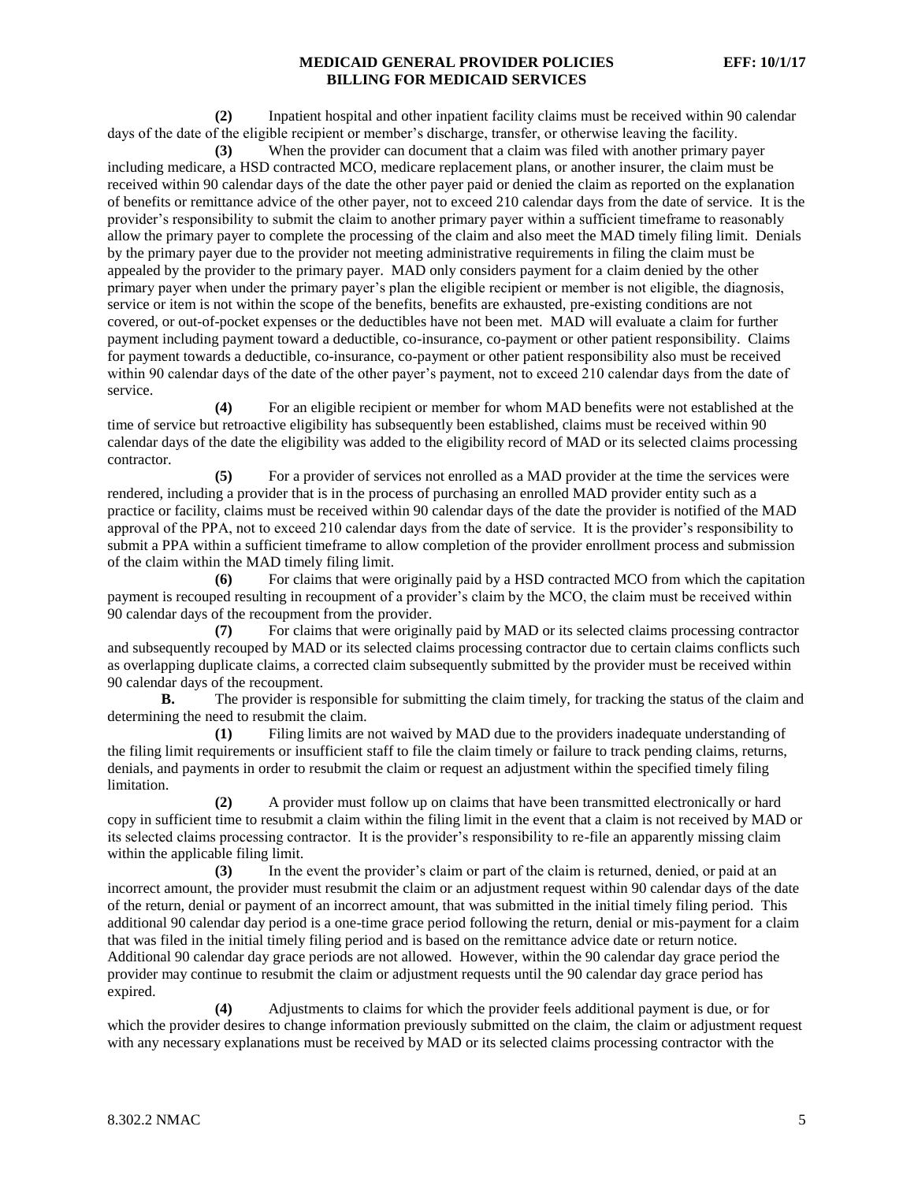**(2)** Inpatient hospital and other inpatient facility claims must be received within 90 calendar days of the date of the eligible recipient or member's discharge, transfer, or otherwise leaving the facility.

**(3)** When the provider can document that a claim was filed with another primary payer including medicare, a HSD contracted MCO, medicare replacement plans, or another insurer, the claim must be received within 90 calendar days of the date the other payer paid or denied the claim as reported on the explanation of benefits or remittance advice of the other payer, not to exceed 210 calendar days from the date of service. It is the provider's responsibility to submit the claim to another primary payer within a sufficient timeframe to reasonably allow the primary payer to complete the processing of the claim and also meet the MAD timely filing limit. Denials by the primary payer due to the provider not meeting administrative requirements in filing the claim must be appealed by the provider to the primary payer. MAD only considers payment for a claim denied by the other primary payer when under the primary payer's plan the eligible recipient or member is not eligible, the diagnosis, service or item is not within the scope of the benefits, benefits are exhausted, pre-existing conditions are not covered, or out-of-pocket expenses or the deductibles have not been met. MAD will evaluate a claim for further payment including payment toward a deductible, co-insurance, co-payment or other patient responsibility. Claims for payment towards a deductible, co-insurance, co-payment or other patient responsibility also must be received within 90 calendar days of the date of the other payer's payment, not to exceed 210 calendar days from the date of service.

**(4)** For an eligible recipient or member for whom MAD benefits were not established at the time of service but retroactive eligibility has subsequently been established, claims must be received within 90 calendar days of the date the eligibility was added to the eligibility record of MAD or its selected claims processing contractor.

**(5)** For a provider of services not enrolled as a MAD provider at the time the services were rendered, including a provider that is in the process of purchasing an enrolled MAD provider entity such as a practice or facility, claims must be received within 90 calendar days of the date the provider is notified of the MAD approval of the PPA, not to exceed 210 calendar days from the date of service. It is the provider's responsibility to submit a PPA within a sufficient timeframe to allow completion of the provider enrollment process and submission of the claim within the MAD timely filing limit.

**(6)** For claims that were originally paid by a HSD contracted MCO from which the capitation payment is recouped resulting in recoupment of a provider's claim by the MCO, the claim must be received within 90 calendar days of the recoupment from the provider.

**(7)** For claims that were originally paid by MAD or its selected claims processing contractor and subsequently recouped by MAD or its selected claims processing contractor due to certain claims conflicts such as overlapping duplicate claims, a corrected claim subsequently submitted by the provider must be received within 90 calendar days of the recoupment.

**B.** The provider is responsible for submitting the claim timely, for tracking the status of the claim and determining the need to resubmit the claim.

**(1)** Filing limits are not waived by MAD due to the providers inadequate understanding of the filing limit requirements or insufficient staff to file the claim timely or failure to track pending claims, returns, denials, and payments in order to resubmit the claim or request an adjustment within the specified timely filing limitation.

**(2)** A provider must follow up on claims that have been transmitted electronically or hard copy in sufficient time to resubmit a claim within the filing limit in the event that a claim is not received by MAD or its selected claims processing contractor. It is the provider's responsibility to re-file an apparently missing claim within the applicable filing limit.

**(3)** In the event the provider's claim or part of the claim is returned, denied, or paid at an incorrect amount, the provider must resubmit the claim or an adjustment request within 90 calendar days of the date of the return, denial or payment of an incorrect amount, that was submitted in the initial timely filing period. This additional 90 calendar day period is a one-time grace period following the return, denial or mis-payment for a claim that was filed in the initial timely filing period and is based on the remittance advice date or return notice. Additional 90 calendar day grace periods are not allowed. However, within the 90 calendar day grace period the provider may continue to resubmit the claim or adjustment requests until the 90 calendar day grace period has expired.

**(4)** Adjustments to claims for which the provider feels additional payment is due, or for which the provider desires to change information previously submitted on the claim, the claim or adjustment request with any necessary explanations must be received by MAD or its selected claims processing contractor with the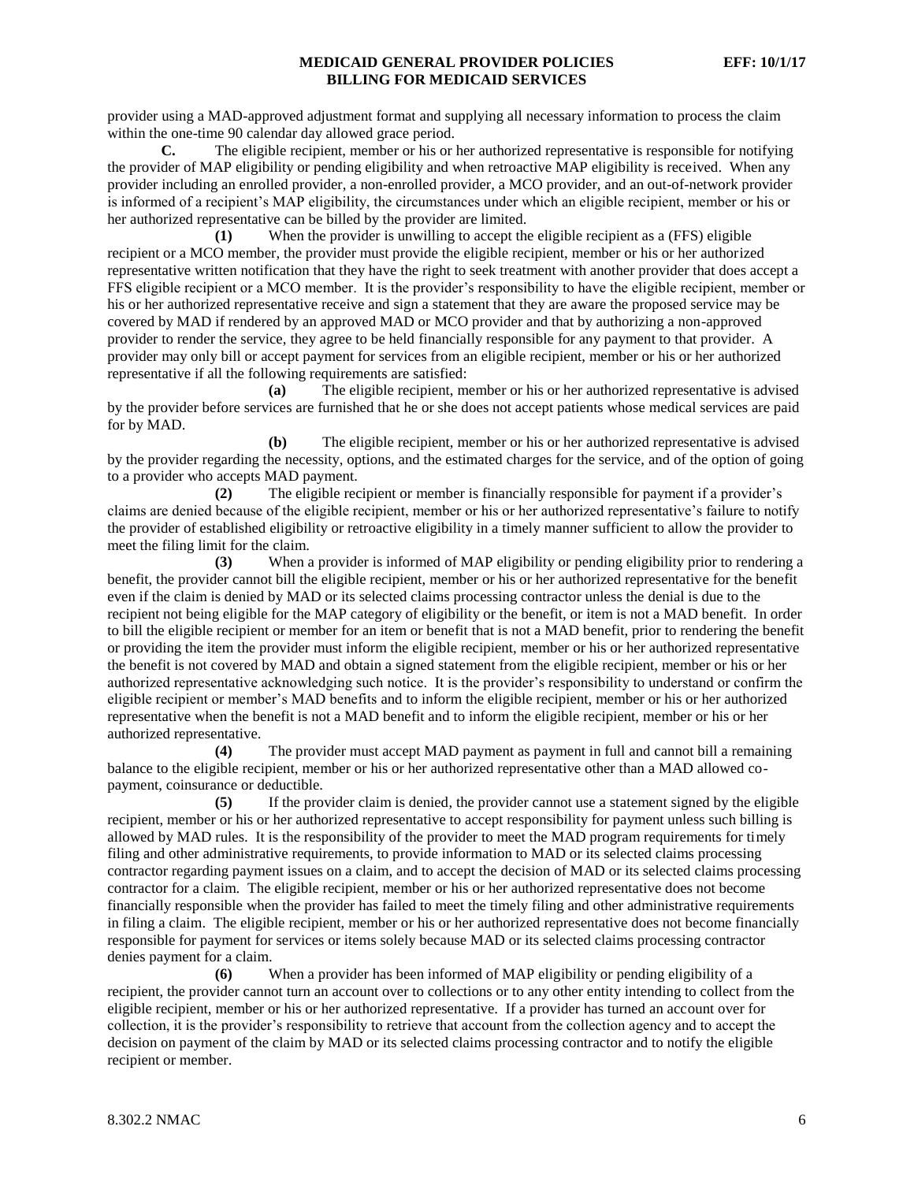provider using a MAD-approved adjustment format and supplying all necessary information to process the claim within the one-time 90 calendar day allowed grace period.

**C.** The eligible recipient, member or his or her authorized representative is responsible for notifying the provider of MAP eligibility or pending eligibility and when retroactive MAP eligibility is received. When any provider including an enrolled provider, a non-enrolled provider, a MCO provider, and an out-of-network provider is informed of a recipient's MAP eligibility, the circumstances under which an eligible recipient, member or his or her authorized representative can be billed by the provider are limited.

**(1)** When the provider is unwilling to accept the eligible recipient as a (FFS) eligible recipient or a MCO member, the provider must provide the eligible recipient, member or his or her authorized representative written notification that they have the right to seek treatment with another provider that does accept a FFS eligible recipient or a MCO member. It is the provider's responsibility to have the eligible recipient, member or his or her authorized representative receive and sign a statement that they are aware the proposed service may be covered by MAD if rendered by an approved MAD or MCO provider and that by authorizing a non-approved provider to render the service, they agree to be held financially responsible for any payment to that provider. A provider may only bill or accept payment for services from an eligible recipient, member or his or her authorized representative if all the following requirements are satisfied:

**(a)** The eligible recipient, member or his or her authorized representative is advised by the provider before services are furnished that he or she does not accept patients whose medical services are paid for by MAD.

**(b)** The eligible recipient, member or his or her authorized representative is advised by the provider regarding the necessity, options, and the estimated charges for the service, and of the option of going to a provider who accepts MAD payment.

**(2)** The eligible recipient or member is financially responsible for payment if a provider's claims are denied because of the eligible recipient, member or his or her authorized representative's failure to notify the provider of established eligibility or retroactive eligibility in a timely manner sufficient to allow the provider to meet the filing limit for the claim.

**(3)** When a provider is informed of MAP eligibility or pending eligibility prior to rendering a benefit, the provider cannot bill the eligible recipient, member or his or her authorized representative for the benefit even if the claim is denied by MAD or its selected claims processing contractor unless the denial is due to the recipient not being eligible for the MAP category of eligibility or the benefit, or item is not a MAD benefit. In order to bill the eligible recipient or member for an item or benefit that is not a MAD benefit, prior to rendering the benefit or providing the item the provider must inform the eligible recipient, member or his or her authorized representative the benefit is not covered by MAD and obtain a signed statement from the eligible recipient, member or his or her authorized representative acknowledging such notice. It is the provider's responsibility to understand or confirm the eligible recipient or member's MAD benefits and to inform the eligible recipient, member or his or her authorized representative when the benefit is not a MAD benefit and to inform the eligible recipient, member or his or her authorized representative.

**(4)** The provider must accept MAD payment as payment in full and cannot bill a remaining balance to the eligible recipient, member or his or her authorized representative other than a MAD allowed copayment, coinsurance or deductible.

**(5)** If the provider claim is denied, the provider cannot use a statement signed by the eligible recipient, member or his or her authorized representative to accept responsibility for payment unless such billing is allowed by MAD rules. It is the responsibility of the provider to meet the MAD program requirements for timely filing and other administrative requirements, to provide information to MAD or its selected claims processing contractor regarding payment issues on a claim, and to accept the decision of MAD or its selected claims processing contractor for a claim. The eligible recipient, member or his or her authorized representative does not become financially responsible when the provider has failed to meet the timely filing and other administrative requirements in filing a claim. The eligible recipient, member or his or her authorized representative does not become financially responsible for payment for services or items solely because MAD or its selected claims processing contractor denies payment for a claim.

**(6)** When a provider has been informed of MAP eligibility or pending eligibility of a recipient, the provider cannot turn an account over to collections or to any other entity intending to collect from the eligible recipient, member or his or her authorized representative. If a provider has turned an account over for collection, it is the provider's responsibility to retrieve that account from the collection agency and to accept the decision on payment of the claim by MAD or its selected claims processing contractor and to notify the eligible recipient or member.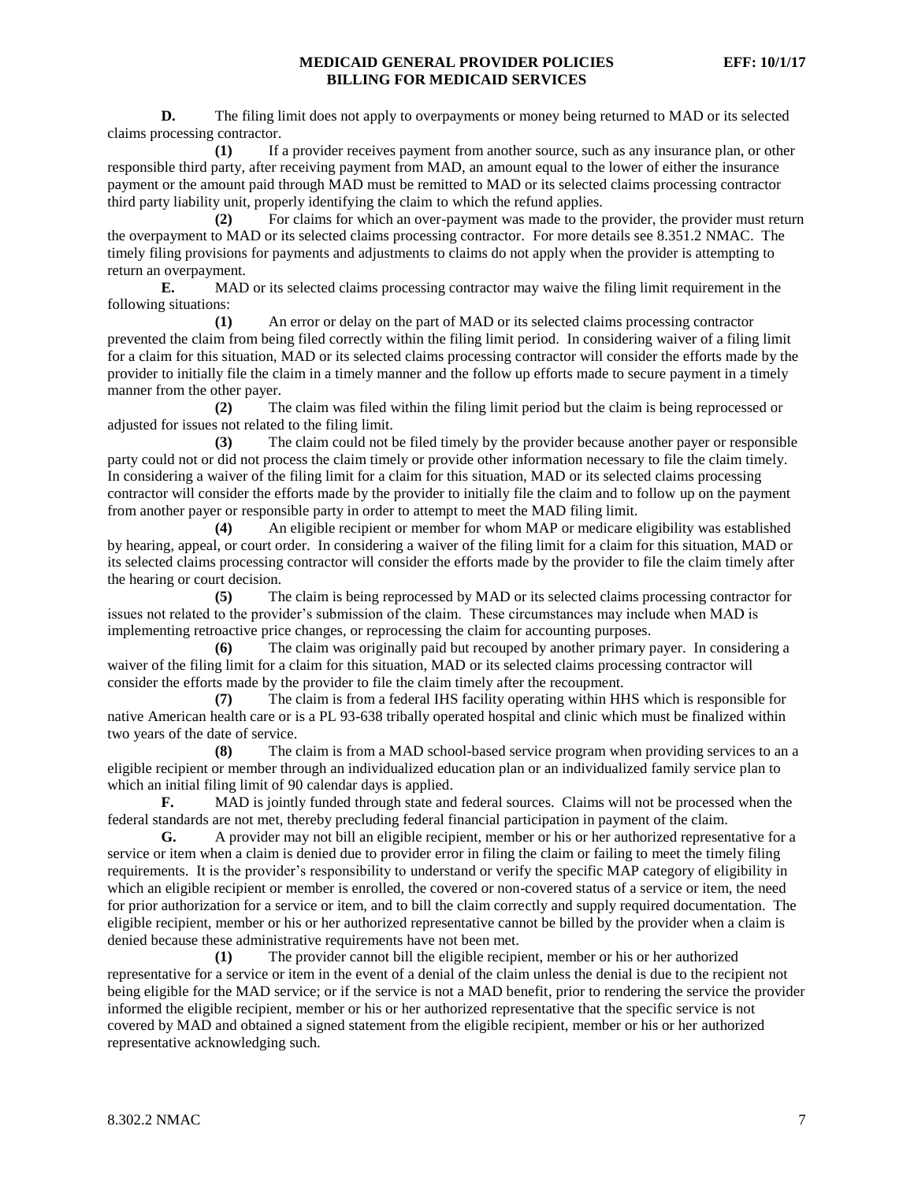**D.** The filing limit does not apply to overpayments or money being returned to MAD or its selected claims processing contractor.

**(1)** If a provider receives payment from another source, such as any insurance plan, or other responsible third party, after receiving payment from MAD, an amount equal to the lower of either the insurance payment or the amount paid through MAD must be remitted to MAD or its selected claims processing contractor third party liability unit, properly identifying the claim to which the refund applies.

**(2)** For claims for which an over-payment was made to the provider, the provider must return the overpayment to MAD or its selected claims processing contractor. For more details see 8.351.2 NMAC. The timely filing provisions for payments and adjustments to claims do not apply when the provider is attempting to return an overpayment.

**E.** MAD or its selected claims processing contractor may waive the filing limit requirement in the following situations:

**(1)** An error or delay on the part of MAD or its selected claims processing contractor prevented the claim from being filed correctly within the filing limit period. In considering waiver of a filing limit for a claim for this situation, MAD or its selected claims processing contractor will consider the efforts made by the provider to initially file the claim in a timely manner and the follow up efforts made to secure payment in a timely manner from the other payer.

**(2)** The claim was filed within the filing limit period but the claim is being reprocessed or adjusted for issues not related to the filing limit.

**(3)** The claim could not be filed timely by the provider because another payer or responsible party could not or did not process the claim timely or provide other information necessary to file the claim timely. In considering a waiver of the filing limit for a claim for this situation, MAD or its selected claims processing contractor will consider the efforts made by the provider to initially file the claim and to follow up on the payment from another payer or responsible party in order to attempt to meet the MAD filing limit.

**(4)** An eligible recipient or member for whom MAP or medicare eligibility was established by hearing, appeal, or court order. In considering a waiver of the filing limit for a claim for this situation, MAD or its selected claims processing contractor will consider the efforts made by the provider to file the claim timely after the hearing or court decision.

**(5)** The claim is being reprocessed by MAD or its selected claims processing contractor for issues not related to the provider's submission of the claim. These circumstances may include when MAD is implementing retroactive price changes, or reprocessing the claim for accounting purposes.

**(6)** The claim was originally paid but recouped by another primary payer. In considering a waiver of the filing limit for a claim for this situation, MAD or its selected claims processing contractor will consider the efforts made by the provider to file the claim timely after the recoupment.

**(7)** The claim is from a federal IHS facility operating within HHS which is responsible for native American health care or is a PL 93-638 tribally operated hospital and clinic which must be finalized within two years of the date of service.

**(8)** The claim is from a MAD school-based service program when providing services to an a eligible recipient or member through an individualized education plan or an individualized family service plan to which an initial filing limit of 90 calendar days is applied.

**F.** MAD is jointly funded through state and federal sources. Claims will not be processed when the federal standards are not met, thereby precluding federal financial participation in payment of the claim.

**G.** A provider may not bill an eligible recipient, member or his or her authorized representative for a service or item when a claim is denied due to provider error in filing the claim or failing to meet the timely filing requirements. It is the provider's responsibility to understand or verify the specific MAP category of eligibility in which an eligible recipient or member is enrolled, the covered or non-covered status of a service or item, the need for prior authorization for a service or item, and to bill the claim correctly and supply required documentation. The eligible recipient, member or his or her authorized representative cannot be billed by the provider when a claim is denied because these administrative requirements have not been met.

**(1)** The provider cannot bill the eligible recipient, member or his or her authorized representative for a service or item in the event of a denial of the claim unless the denial is due to the recipient not being eligible for the MAD service; or if the service is not a MAD benefit, prior to rendering the service the provider informed the eligible recipient, member or his or her authorized representative that the specific service is not covered by MAD and obtained a signed statement from the eligible recipient, member or his or her authorized representative acknowledging such.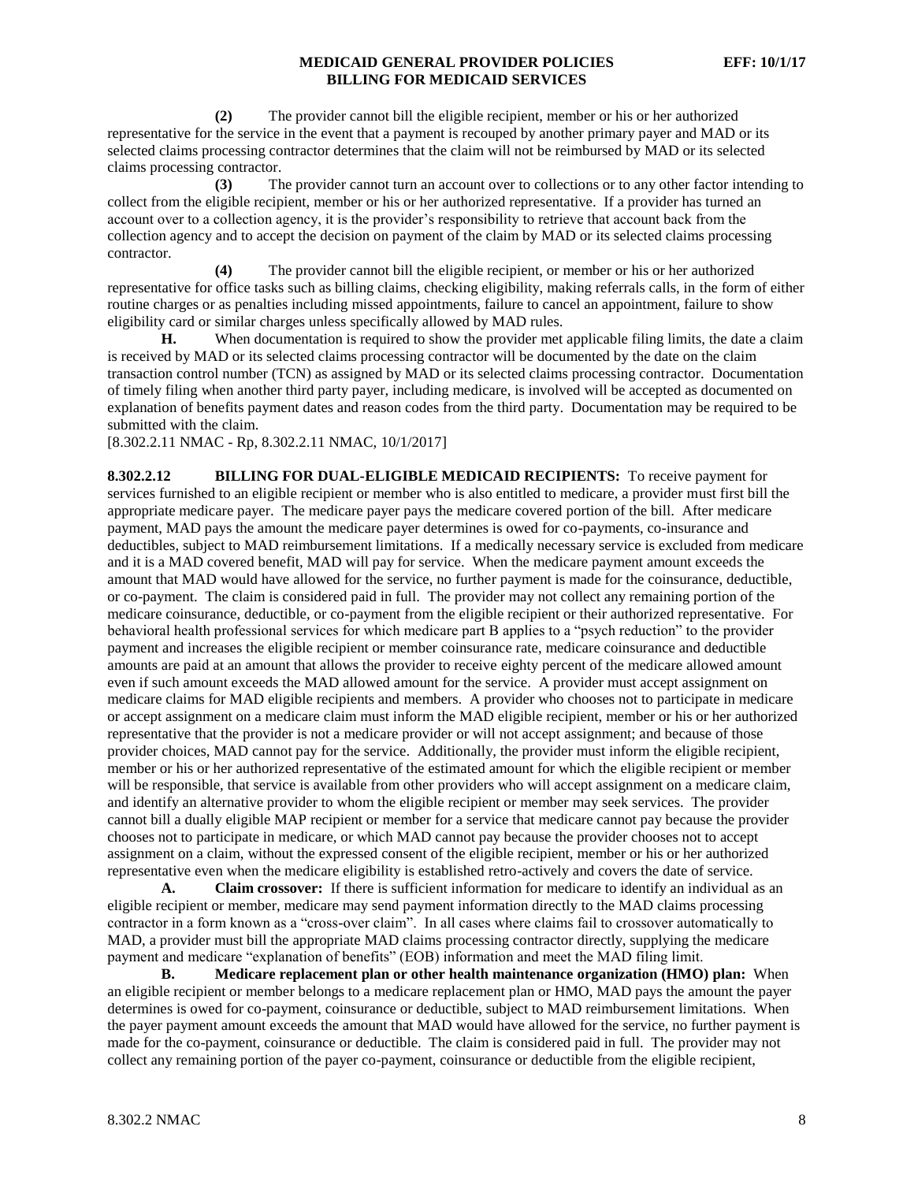**(2)** The provider cannot bill the eligible recipient, member or his or her authorized representative for the service in the event that a payment is recouped by another primary payer and MAD or its selected claims processing contractor determines that the claim will not be reimbursed by MAD or its selected claims processing contractor.

**(3)** The provider cannot turn an account over to collections or to any other factor intending to collect from the eligible recipient, member or his or her authorized representative. If a provider has turned an account over to a collection agency, it is the provider's responsibility to retrieve that account back from the collection agency and to accept the decision on payment of the claim by MAD or its selected claims processing contractor.

**(4)** The provider cannot bill the eligible recipient, or member or his or her authorized representative for office tasks such as billing claims, checking eligibility, making referrals calls, in the form of either routine charges or as penalties including missed appointments, failure to cancel an appointment, failure to show eligibility card or similar charges unless specifically allowed by MAD rules.

**H.** When documentation is required to show the provider met applicable filing limits, the date a claim is received by MAD or its selected claims processing contractor will be documented by the date on the claim transaction control number (TCN) as assigned by MAD or its selected claims processing contractor. Documentation of timely filing when another third party payer, including medicare, is involved will be accepted as documented on explanation of benefits payment dates and reason codes from the third party. Documentation may be required to be submitted with the claim.

[8.302.2.11 NMAC - Rp, 8.302.2.11 NMAC, 10/1/2017]

**8.302.2.12 BILLING FOR DUAL-ELIGIBLE MEDICAID RECIPIENTS:** To receive payment for services furnished to an eligible recipient or member who is also entitled to medicare, a provider must first bill the appropriate medicare payer. The medicare payer pays the medicare covered portion of the bill. After medicare payment, MAD pays the amount the medicare payer determines is owed for co-payments, co-insurance and deductibles, subject to MAD reimbursement limitations. If a medically necessary service is excluded from medicare and it is a MAD covered benefit, MAD will pay for service. When the medicare payment amount exceeds the amount that MAD would have allowed for the service, no further payment is made for the coinsurance, deductible, or co-payment. The claim is considered paid in full. The provider may not collect any remaining portion of the medicare coinsurance, deductible, or co-payment from the eligible recipient or their authorized representative. For behavioral health professional services for which medicare part B applies to a "psych reduction" to the provider payment and increases the eligible recipient or member coinsurance rate, medicare coinsurance and deductible amounts are paid at an amount that allows the provider to receive eighty percent of the medicare allowed amount even if such amount exceeds the MAD allowed amount for the service. A provider must accept assignment on medicare claims for MAD eligible recipients and members. A provider who chooses not to participate in medicare or accept assignment on a medicare claim must inform the MAD eligible recipient, member or his or her authorized representative that the provider is not a medicare provider or will not accept assignment; and because of those provider choices, MAD cannot pay for the service. Additionally, the provider must inform the eligible recipient, member or his or her authorized representative of the estimated amount for which the eligible recipient or member will be responsible, that service is available from other providers who will accept assignment on a medicare claim, and identify an alternative provider to whom the eligible recipient or member may seek services. The provider cannot bill a dually eligible MAP recipient or member for a service that medicare cannot pay because the provider chooses not to participate in medicare, or which MAD cannot pay because the provider chooses not to accept assignment on a claim, without the expressed consent of the eligible recipient, member or his or her authorized representative even when the medicare eligibility is established retro-actively and covers the date of service.

**A. Claim crossover:** If there is sufficient information for medicare to identify an individual as an eligible recipient or member, medicare may send payment information directly to the MAD claims processing contractor in a form known as a "cross-over claim". In all cases where claims fail to crossover automatically to MAD, a provider must bill the appropriate MAD claims processing contractor directly, supplying the medicare payment and medicare "explanation of benefits" (EOB) information and meet the MAD filing limit.

**B. Medicare replacement plan or other health maintenance organization (HMO) plan:** When an eligible recipient or member belongs to a medicare replacement plan or HMO, MAD pays the amount the payer determines is owed for co-payment, coinsurance or deductible, subject to MAD reimbursement limitations. When the payer payment amount exceeds the amount that MAD would have allowed for the service, no further payment is made for the co-payment, coinsurance or deductible. The claim is considered paid in full. The provider may not collect any remaining portion of the payer co-payment, coinsurance or deductible from the eligible recipient,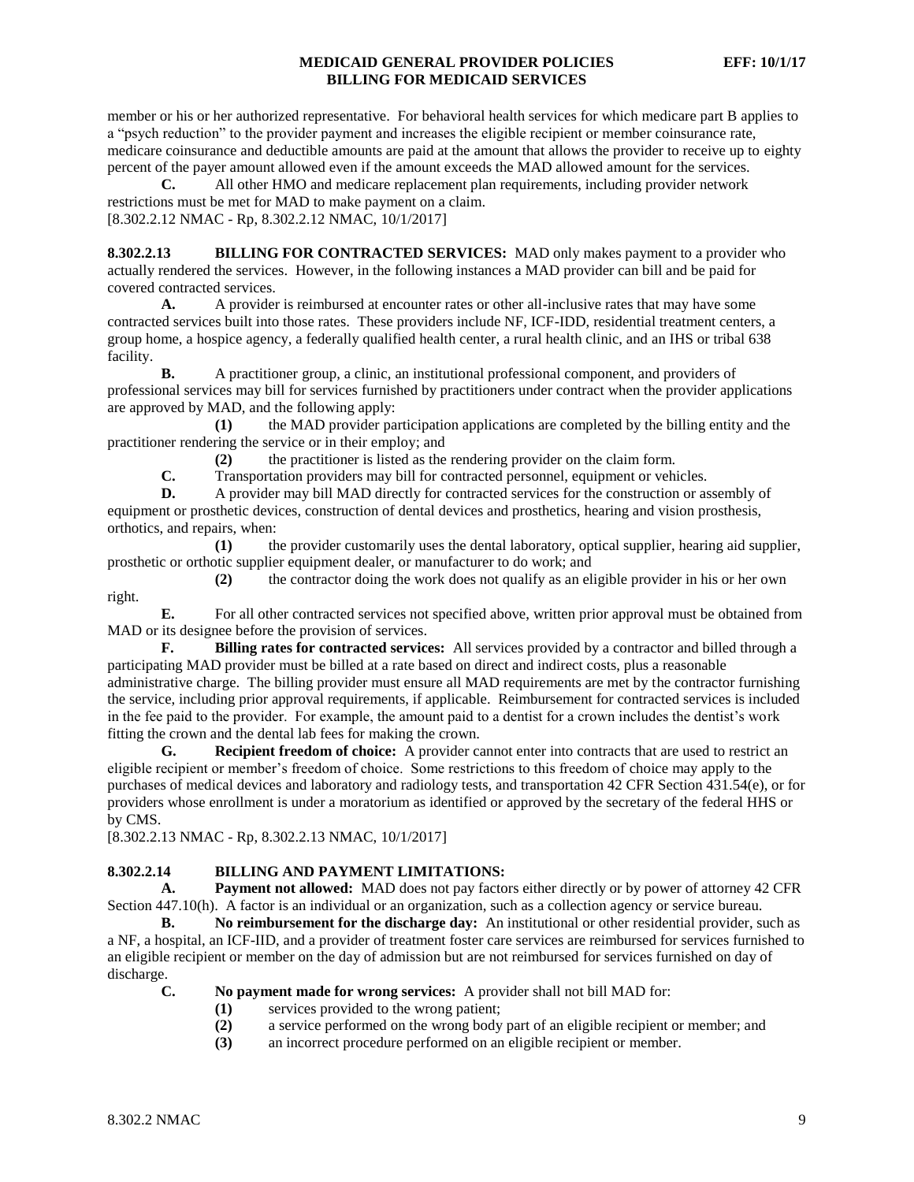member or his or her authorized representative. For behavioral health services for which medicare part B applies to a "psych reduction" to the provider payment and increases the eligible recipient or member coinsurance rate, medicare coinsurance and deductible amounts are paid at the amount that allows the provider to receive up to eighty percent of the payer amount allowed even if the amount exceeds the MAD allowed amount for the services.

**C.** All other HMO and medicare replacement plan requirements, including provider network restrictions must be met for MAD to make payment on a claim. [8.302.2.12 NMAC - Rp, 8.302.2.12 NMAC, 10/1/2017]

**8.302.2.13 BILLING FOR CONTRACTED SERVICES:** MAD only makes payment to a provider who actually rendered the services. However, in the following instances a MAD provider can bill and be paid for covered contracted services.

**A.** A provider is reimbursed at encounter rates or other all-inclusive rates that may have some contracted services built into those rates. These providers include NF, ICF-IDD, residential treatment centers, a group home, a hospice agency, a federally qualified health center, a rural health clinic, and an IHS or tribal 638 facility.

**B.** A practitioner group, a clinic, an institutional professional component, and providers of professional services may bill for services furnished by practitioners under contract when the provider applications are approved by MAD, and the following apply:

**(1)** the MAD provider participation applications are completed by the billing entity and the practitioner rendering the service or in their employ; and

**(2)** the practitioner is listed as the rendering provider on the claim form.

**C.** Transportation providers may bill for contracted personnel, equipment or vehicles.

**D.** A provider may bill MAD directly for contracted services for the construction or assembly of equipment or prosthetic devices, construction of dental devices and prosthetics, hearing and vision prosthesis, orthotics, and repairs, when:

**(1)** the provider customarily uses the dental laboratory, optical supplier, hearing aid supplier, prosthetic or orthotic supplier equipment dealer, or manufacturer to do work; and

**(2)** the contractor doing the work does not qualify as an eligible provider in his or her own right.

**E.** For all other contracted services not specified above, written prior approval must be obtained from MAD or its designee before the provision of services.

**F. Billing rates for contracted services:** All services provided by a contractor and billed through a participating MAD provider must be billed at a rate based on direct and indirect costs, plus a reasonable administrative charge. The billing provider must ensure all MAD requirements are met by the contractor furnishing the service, including prior approval requirements, if applicable. Reimbursement for contracted services is included in the fee paid to the provider. For example, the amount paid to a dentist for a crown includes the dentist's work fitting the crown and the dental lab fees for making the crown.

**G. Recipient freedom of choice:** A provider cannot enter into contracts that are used to restrict an eligible recipient or member's freedom of choice. Some restrictions to this freedom of choice may apply to the purchases of medical devices and laboratory and radiology tests, and transportation 42 CFR Section 431.54(e), or for providers whose enrollment is under a moratorium as identified or approved by the secretary of the federal HHS or by CMS.

[8.302.2.13 NMAC - Rp, 8.302.2.13 NMAC, 10/1/2017]

### **8.302.2.14 BILLING AND PAYMENT LIMITATIONS:**

**A. Payment not allowed:** MAD does not pay factors either directly or by power of attorney 42 CFR Section 447.10(h). A factor is an individual or an organization, such as a collection agency or service bureau.

**B. No reimbursement for the discharge day:** An institutional or other residential provider, such as a NF, a hospital, an ICF-IID, and a provider of treatment foster care services are reimbursed for services furnished to an eligible recipient or member on the day of admission but are not reimbursed for services furnished on day of discharge.

**C. No payment made for wrong services:** A provider shall not bill MAD for:

- **(1)** services provided to the wrong patient;
- **(2)** a service performed on the wrong body part of an eligible recipient or member; and
- **(3)** an incorrect procedure performed on an eligible recipient or member.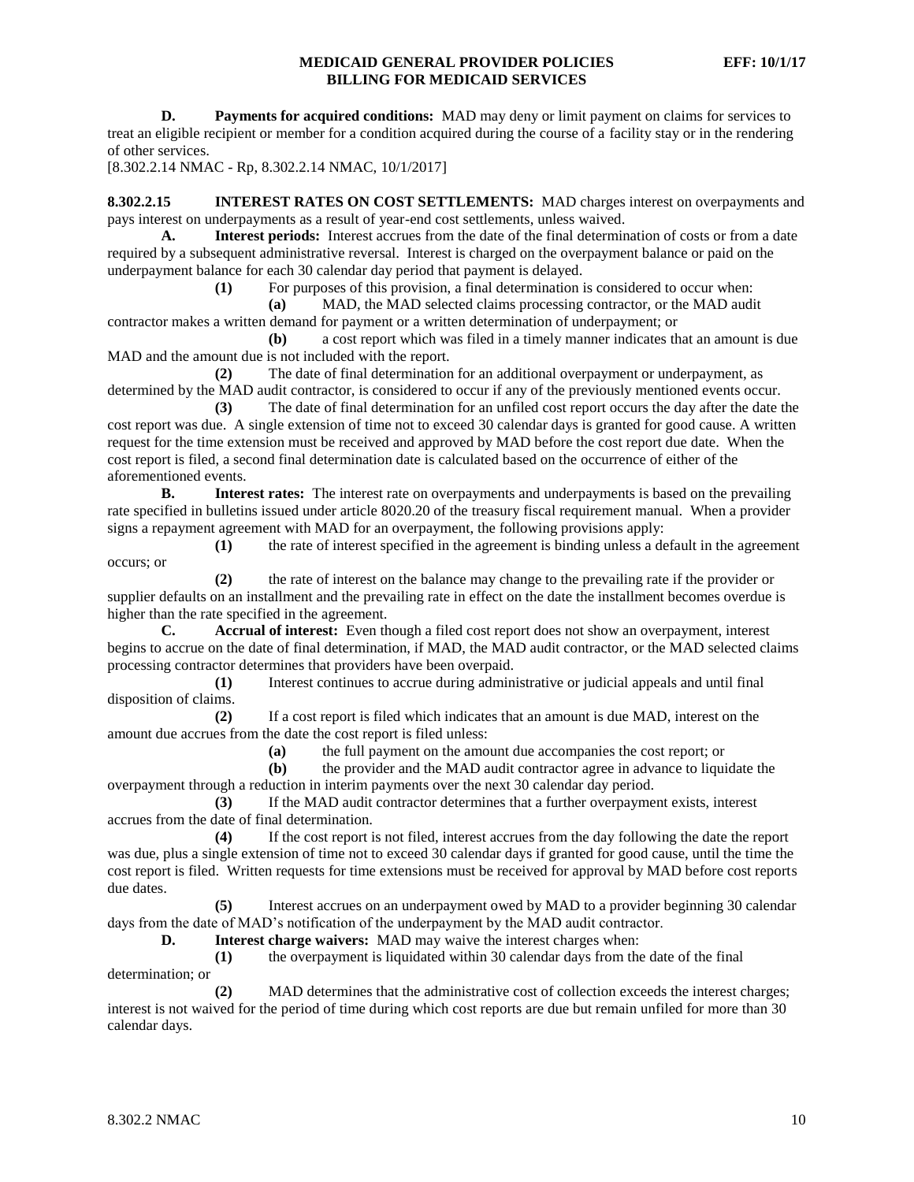**D. Payments for acquired conditions:** MAD may deny or limit payment on claims for services to treat an eligible recipient or member for a condition acquired during the course of a facility stay or in the rendering of other services.

[8.302.2.14 NMAC - Rp, 8.302.2.14 NMAC, 10/1/2017]

**8.302.2.15 INTEREST RATES ON COST SETTLEMENTS:** MAD charges interest on overpayments and pays interest on underpayments as a result of year-end cost settlements, unless waived.

**A. Interest periods:** Interest accrues from the date of the final determination of costs or from a date required by a subsequent administrative reversal. Interest is charged on the overpayment balance or paid on the underpayment balance for each 30 calendar day period that payment is delayed.

**(1)** For purposes of this provision, a final determination is considered to occur when:

**(a)** MAD, the MAD selected claims processing contractor, or the MAD audit contractor makes a written demand for payment or a written determination of underpayment; or

**(b)** a cost report which was filed in a timely manner indicates that an amount is due MAD and the amount due is not included with the report.

**(2)** The date of final determination for an additional overpayment or underpayment, as determined by the MAD audit contractor, is considered to occur if any of the previously mentioned events occur.

**(3)** The date of final determination for an unfiled cost report occurs the day after the date the cost report was due. A single extension of time not to exceed 30 calendar days is granted for good cause. A written request for the time extension must be received and approved by MAD before the cost report due date. When the cost report is filed, a second final determination date is calculated based on the occurrence of either of the aforementioned events.

**B. Interest rates:** The interest rate on overpayments and underpayments is based on the prevailing rate specified in bulletins issued under article 8020.20 of the treasury fiscal requirement manual. When a provider signs a repayment agreement with MAD for an overpayment, the following provisions apply:

**(1)** the rate of interest specified in the agreement is binding unless a default in the agreement occurs; or

**(2)** the rate of interest on the balance may change to the prevailing rate if the provider or supplier defaults on an installment and the prevailing rate in effect on the date the installment becomes overdue is higher than the rate specified in the agreement.

**C. Accrual of interest:** Even though a filed cost report does not show an overpayment, interest begins to accrue on the date of final determination, if MAD, the MAD audit contractor, or the MAD selected claims processing contractor determines that providers have been overpaid.

**(1)** Interest continues to accrue during administrative or judicial appeals and until final disposition of claims.

**(2)** If a cost report is filed which indicates that an amount is due MAD, interest on the amount due accrues from the date the cost report is filed unless:

**(a)** the full payment on the amount due accompanies the cost report; or

**(b)** the provider and the MAD audit contractor agree in advance to liquidate the

overpayment through a reduction in interim payments over the next 30 calendar day period.

**(3)** If the MAD audit contractor determines that a further overpayment exists, interest accrues from the date of final determination.

**(4)** If the cost report is not filed, interest accrues from the day following the date the report was due, plus a single extension of time not to exceed 30 calendar days if granted for good cause, until the time the cost report is filed. Written requests for time extensions must be received for approval by MAD before cost reports due dates.

**(5)** Interest accrues on an underpayment owed by MAD to a provider beginning 30 calendar days from the date of MAD's notification of the underpayment by the MAD audit contractor.

**D. Interest charge waivers:** MAD may waive the interest charges when:

**(1)** the overpayment is liquidated within 30 calendar days from the date of the final determination; or

**(2)** MAD determines that the administrative cost of collection exceeds the interest charges; interest is not waived for the period of time during which cost reports are due but remain unfiled for more than 30 calendar days.